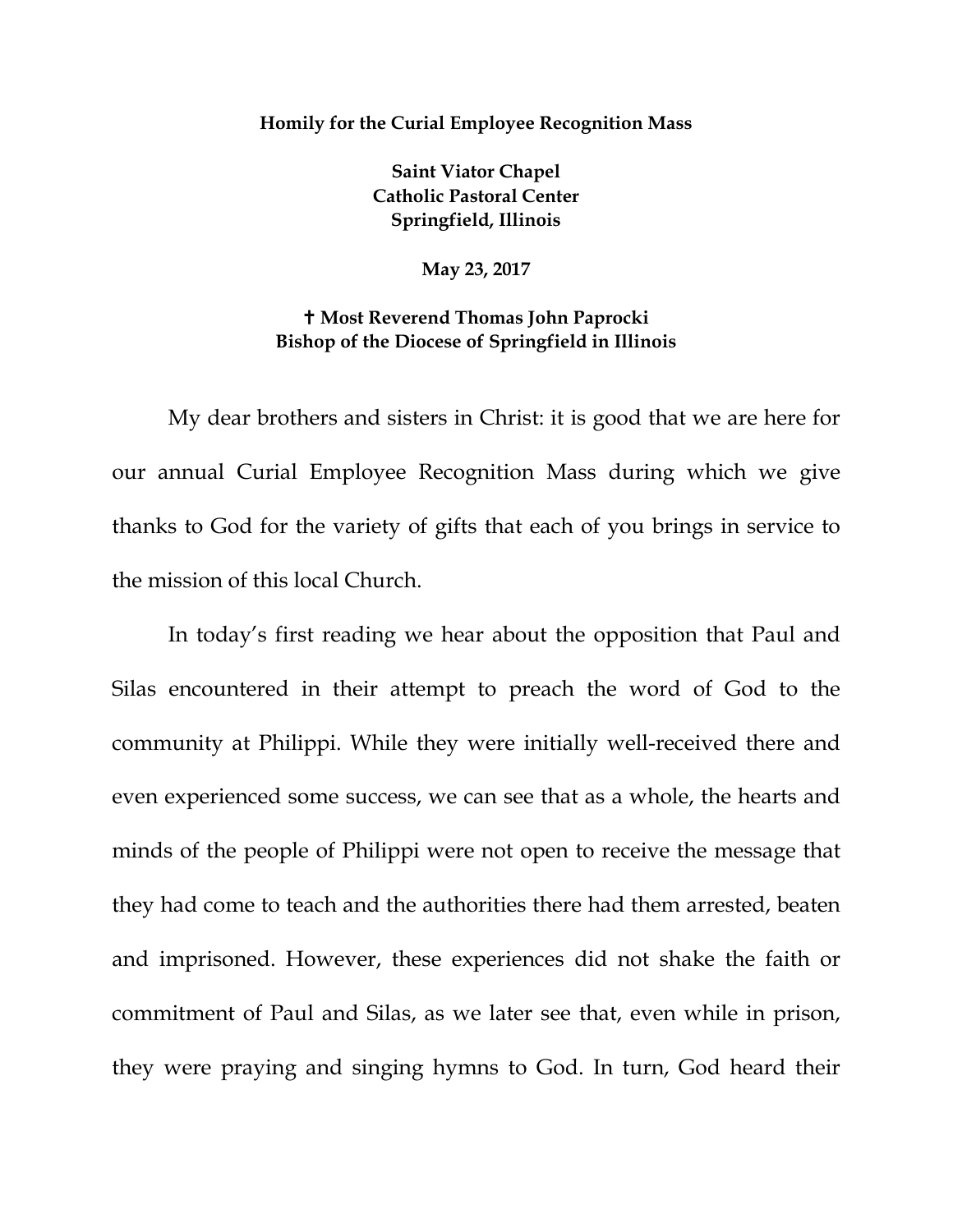## **Homily for the Curial Employee Recognition Mass**

**Saint Viator Chapel Catholic Pastoral Center Springfield, Illinois**

**May 23, 2017**

## **Most Reverend Thomas John Paprocki Bishop of the Diocese of Springfield in Illinois**

My dear brothers and sisters in Christ: it is good that we are here for our annual Curial Employee Recognition Mass during which we give thanks to God for the variety of gifts that each of you brings in service to the mission of this local Church.

In today's first reading we hear about the opposition that Paul and Silas encountered in their attempt to preach the word of God to the community at Philippi. While they were initially well-received there and even experienced some success, we can see that as a whole, the hearts and minds of the people of Philippi were not open to receive the message that they had come to teach and the authorities there had them arrested, beaten and imprisoned. However, these experiences did not shake the faith or commitment of Paul and Silas, as we later see that, even while in prison, they were praying and singing hymns to God. In turn, God heard their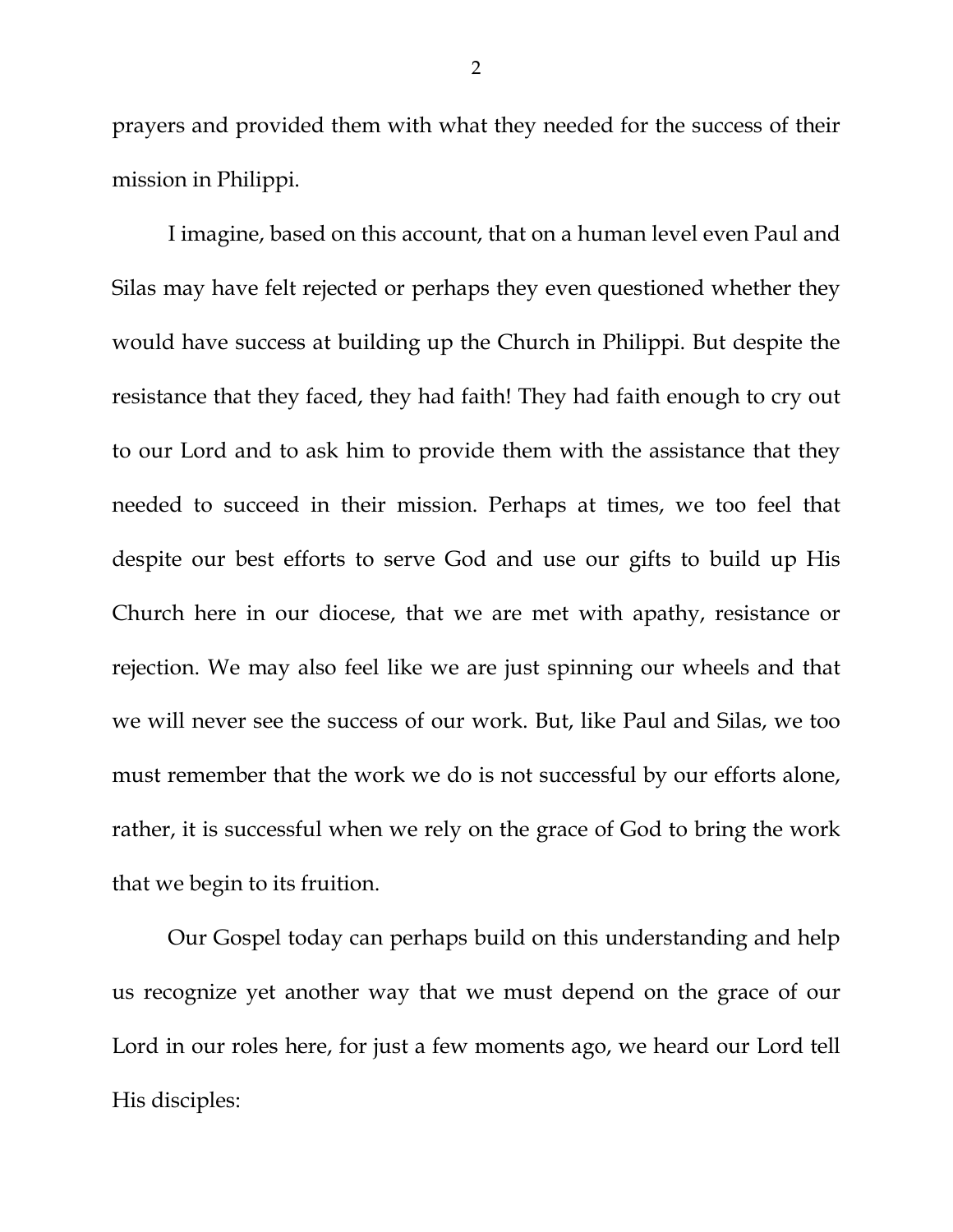prayers and provided them with what they needed for the success of their mission in Philippi.

I imagine, based on this account, that on a human level even Paul and Silas may have felt rejected or perhaps they even questioned whether they would have success at building up the Church in Philippi. But despite the resistance that they faced, they had faith! They had faith enough to cry out to our Lord and to ask him to provide them with the assistance that they needed to succeed in their mission. Perhaps at times, we too feel that despite our best efforts to serve God and use our gifts to build up His Church here in our diocese, that we are met with apathy, resistance or rejection. We may also feel like we are just spinning our wheels and that we will never see the success of our work. But, like Paul and Silas, we too must remember that the work we do is not successful by our efforts alone, rather, it is successful when we rely on the grace of God to bring the work that we begin to its fruition.

Our Gospel today can perhaps build on this understanding and help us recognize yet another way that we must depend on the grace of our Lord in our roles here, for just a few moments ago, we heard our Lord tell His disciples: